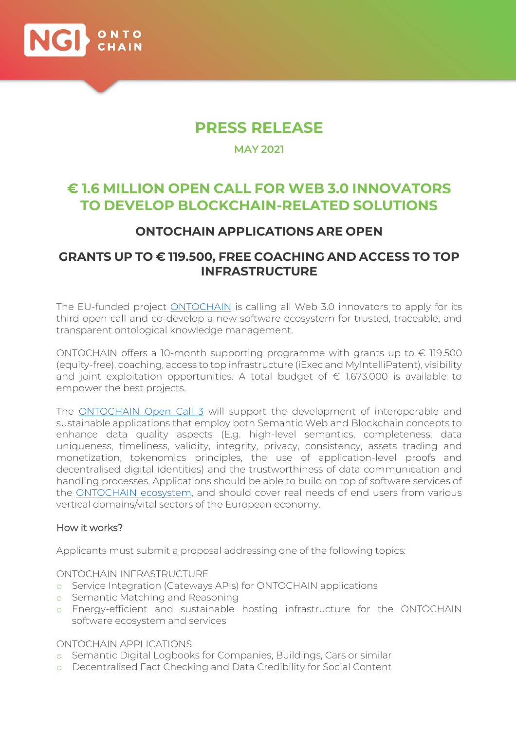

## **PRESS RELEASE**

**MAY 2021**

# **€ 1.6 MILLION OPEN CALL FOR WEB 3.0 INNOVATORS TO DEVELOP BLOCKCHAIN-RELATED SOLUTIONS**

### ONTOCHAIN APPLICATIONS ARE OPEN

### GRANTS UP TO € 119.500, FREE COACHING AND ACCESS TO TOP INFRASTRUCTURE

The EU-funded project **ONTOCHAIN** is calling all Web 3.0 innovators to apply for its third open call and co-develop a new software ecosystem for trusted, traceable, and transparent ontological knowledge management.

ONTOCHAIN offers a 10-month supporting programme with grants up to  $\epsilon$  119.500 (equity-free), coaching, access to top infrastructure (iExec and MyIntelliPatent), visibility and joint exploitation opportunities. A total budget of  $\epsilon$  1.673.000 is available to empower the best projects.

The **ONTOCHAIN** Open Call 3 will support the development of interoperable and sustainable applications that employ both Semantic Web and Blockchain concepts to enhance data quality aspects (E.g. high-level semantics, completeness, data uniqueness, timeliness, validity, integrity, privacy, consistency, assets trading and monetization, tokenomics principles, the use of application-level proofs and decentralised digital identities) and the trustworthiness of data communication and handling processes. Applications should be able to build on top of software services of the **ONTOCHAIN ecosystem**, and should cover real needs of end users from various vertical domains/vital sectors of the European economy.

#### How it works?

Applicants must submit a proposal addressing one of the following topics:

ONTOCHAIN INFRASTRUCTURE

- o Service Integration (Gateways APIs) for ONTOCHAIN applications
- o Semantic Matching and Reasoning
- o Energy-efficient and sustainable hosting infrastructure for the ONTOCHAIN software ecosystem and services

ONTOCHAIN APPLICATIONS

- o Semantic Digital Logbooks for Companies, Buildings, Cars or similar
- o Decentralised Fact Checking and Data Credibility for Social Content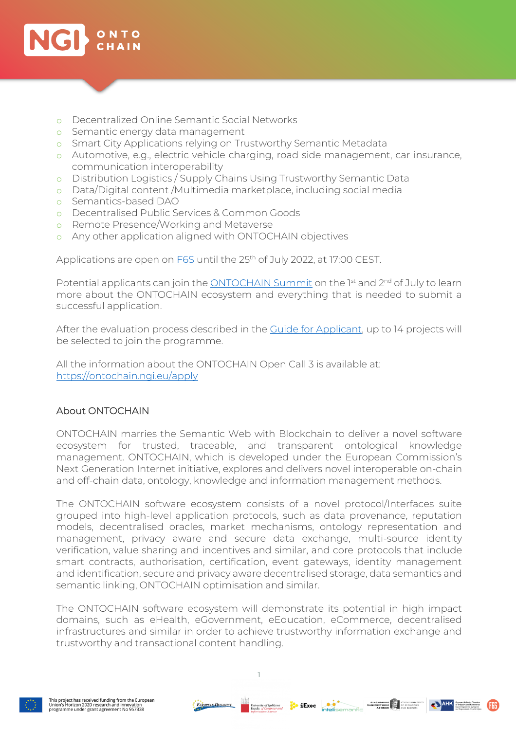

- o Decentralized Online Semantic Social Networks
- o Semantic energy data management
- o Smart City Applications relying on Trustworthy Semantic Metadata
- o Automotive, e.g., electric vehicle charging, road side management, car insurance, communication interoperability
- o Distribution Logistics / Supply Chains Using Trustworthy Semantic Data
- o Data/Digital content /Multimedia marketplace, including social media
- o Semantics-based DAO
- o Decentralised Public Services & Common Goods
- o Remote Presence/Working and Metaverse
- o Any other application aligned with ONTOCHAIN objectives

Applications are open on **F6S** until the 25<sup>th</sup> of July 2022, at 17:00 CEST.

Potential applicants can join the [ONTOCHAIN Summit](http://ontochainsummit.eu/) on the  $1st$  and  $2nd$  of July to learn more about the ONTOCHAIN ecosystem and everything that is needed to submit a successful application.

After the evaluation process described in the [Guide for Applicant,](https://bit.ly/3FMipd8) up to 14 projects will be selected to join the programme.

All the information about the ONTOCHAIN Open Call 3 is available at: <https://ontochain.ngi.eu/apply>

#### About ONTOCHAIN

ONTOCHAIN marries the Semantic Web with Blockchain to deliver a novel software ecosystem for trusted, traceable, and transparent ontological knowledge management. ONTOCHAIN, which is developed under the European Commission's Next Generation Internet initiative, explores and delivers novel interoperable on-chain and off-chain data, ontology, knowledge and information management methods.

The ONTOCHAIN software ecosystem consists of a novel protocol/Interfaces suite grouped into high-level application protocols, such as data provenance, reputation models, decentralised oracles, market mechanisms, ontology representation and management, privacy aware and secure data exchange, multi-source identity verification, value sharing and incentives and similar, and core protocols that include smart contracts, authorisation, certification, event gateways, identity management and identification, secure and privacy aware decentralised storage, data semantics and semantic linking, ONTOCHAIN optimisation and similar.

The ONTOCHAIN software ecosystem will demonstrate its potential in high impact domains, such as eHealth, eGovernment, eEducation, eCommerce, decentralised infrastructures and similar in order to achieve trustworthy information exchange and trustworthy and transactional content handling.

1